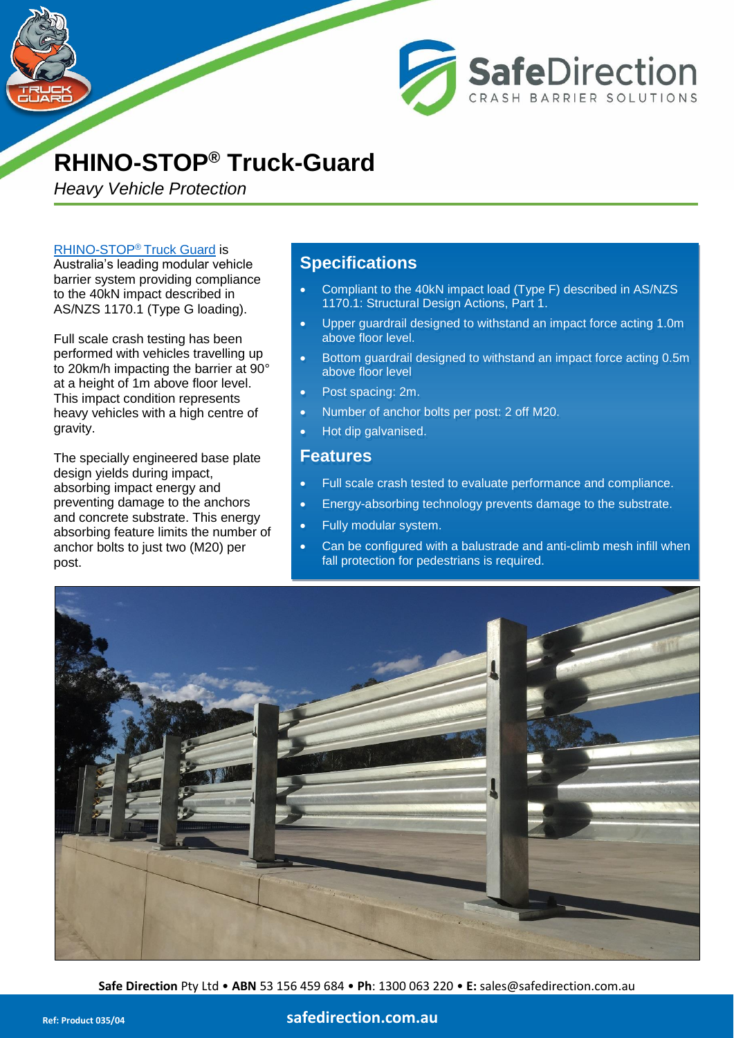

*Heavy Vehicle Protection*

#### [RHINO-STOP](http://www.safedirection.com.au/products/car-park-barriers/rhino-stop-truck-guard/)® Truck Guard is

Australia's leading modular vehicle barrier system providing compliance to the 40kN impact described in AS/NZS 1170.1 (Type G loading).

Full scale crash testing has been performed with vehicles travelling up to 20km/h impacting the barrier at 90° at a height of 1m above floor level. This impact condition represents heavy vehicles with a high centre of gravity.

The specially engineered base plate design yields during impact, absorbing impact energy and preventing damage to the anchors and concrete substrate. This energy absorbing feature limits the number of anchor bolts to just two (M20) per post.

## **Specifications**

• Compliant to the 40kN impact load (Type F) described in AS/NZS 1170.1: Structural Design Actions, Part 1.

**SafeDirection** 

CRASH BARRIER SOLUTIONS

- Upper guardrail designed to withstand an impact force acting 1.0m above floor level.
- Bottom guardrail designed to withstand an impact force acting 0.5m above floor level
- Post spacing: 2m.
- Number of anchor bolts per post: 2 off M20.
- Hot dip galvanised.

### **Features**

- Full scale crash tested to evaluate performance and compliance.
- Energy-absorbing technology prevents damage to the substrate.
- Fully modular system.
- Can be configured with a balustrade and anti-climb mesh infill when fall protection for pedestrians is required.



**Safe Direction** Pty Ltd • **ABN** 53 156 459 684 • **Ph**: [1300 063 220](tel:1300063220) • **E:** sales@safedirection.com.au

### **Ref: Product 035/04 [safedirection.com.au](https://www.safedirection.com.au/)**